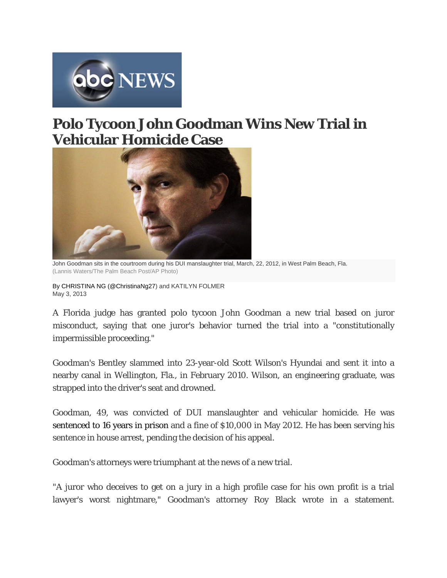

## **Polo Tycoon John Goodman Wins New Trial in Vehicular Homicide Case**



John Goodman sits in the courtroom during his DUI manslaughter trial, March, 22, 2012, in West Palm Beach, Fla. (Lannis Waters/The Palm Beach Post/AP Photo)

By CHRISTINA NG (@ChristinaNg27) and KATILYN FOLMER May 3, 2013

A Florida judge has granted polo tycoon John Goodman a new trial based on juror misconduct, saying that one juror's behavior turned the trial into a "constitutionally impermissible proceeding."

Goodman's Bentley slammed into 23-year-old Scott Wilson's Hyundai and sent it into a nearby canal in Wellington, Fla., in February 2010. Wilson, an engineering graduate, was strapped into the driver's seat and drowned.

Goodman, 49, was convicted of DUI manslaughter and vehicular homicide. He was sentenced to 16 years in prison and a fine of \$10,000 in May 2012. He has been serving his sentence in house arrest, pending the decision of his appeal.

Goodman's attorneys were triumphant at the news of a new trial.

"A juror who deceives to get on a jury in a high profile case for his own profit is a trial lawyer's worst nightmare," Goodman's attorney Roy Black wrote in a statement.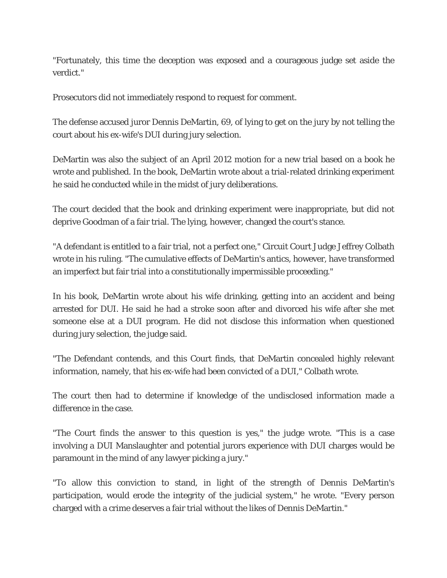"Fortunately, this time the deception was exposed and a courageous judge set aside the verdict."

Prosecutors did not immediately respond to request for comment.

The defense accused juror Dennis DeMartin, 69, of lying to get on the jury by not telling the court about his ex-wife's DUI during jury selection.

DeMartin was also the subject of an April 2012 motion for a new trial based on a book he wrote and published. In the book, DeMartin wrote about a trial-related drinking experiment he said he conducted while in the midst of jury deliberations.

The court decided that the book and drinking experiment were inappropriate, but did not deprive Goodman of a fair trial. The lying, however, changed the court's stance.

"A defendant is entitled to a fair trial, not a perfect one," Circuit Court Judge Jeffrey Colbath wrote in his ruling. "The cumulative effects of DeMartin's antics, however, have transformed an imperfect but fair trial into a constitutionally impermissible proceeding."

In his book, DeMartin wrote about his wife drinking, getting into an accident and being arrested for DUI. He said he had a stroke soon after and divorced his wife after she met someone else at a DUI program. He did not disclose this information when questioned during jury selection, the judge said.

"The Defendant contends, and this Court finds, that DeMartin concealed highly relevant information, namely, that his ex-wife had been convicted of a DUI," Colbath wrote.

The court then had to determine if knowledge of the undisclosed information made a difference in the case.

"The Court finds the answer to this question is yes," the judge wrote. "This is a case involving a DUI Manslaughter and potential jurors experience with DUI charges would be paramount in the mind of any lawyer picking a jury."

"To allow this conviction to stand, in light of the strength of Dennis DeMartin's participation, would erode the integrity of the judicial system," he wrote. "Every person charged with a crime deserves a fair trial without the likes of Dennis DeMartin."